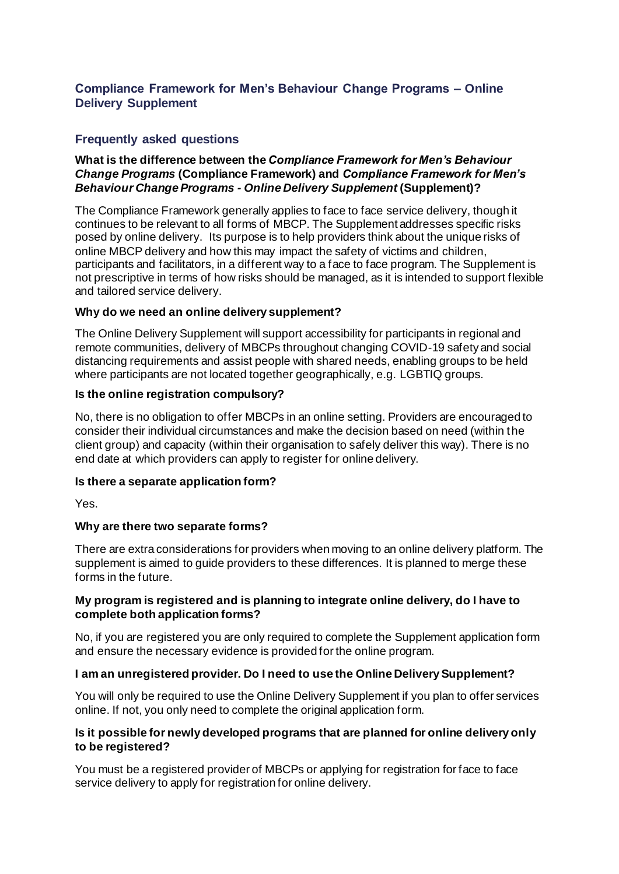## **Compliance Framework for Men's Behaviour Change Programs – Online Delivery Supplement**

# **Frequently asked questions**

### **What is the difference between the** *Compliance Framework for Men's Behaviour Change Programs* **(Compliance Framework) and** *Compliance Framework for Men's Behaviour Change Programs - Online Delivery Supplement* **(Supplement)?**

The Compliance Framework generally applies to face to face service delivery, though it continues to be relevant to all forms of MBCP. The Supplement addresses specific risks posed by online delivery. Its purpose is to help providers think about the unique risks of online MBCP delivery and how this may impact the safety of victims and children, participants and facilitators, in a different way to a face to face program. The Supplement is not prescriptive in terms of how risks should be managed, as it is intended to support flexible and tailored service delivery.

### **Why do we need an online delivery supplement?**

The Online Delivery Supplement will support accessibility for participants in regional and remote communities, delivery of MBCPs throughout changing COVID-19 safety and social distancing requirements and assist people with shared needs, enabling groups to be held where participants are not located together geographically, e.g. LGBTIQ groups.

### **Is the online registration compulsory?**

No, there is no obligation to offer MBCPs in an online setting. Providers are encouraged to consider their individual circumstances and make the decision based on need (within the client group) and capacity (within their organisation to safely deliver this way). There is no end date at which providers can apply to register for online delivery.

### **Is there a separate application form?**

Yes.

### **Why are there two separate forms?**

There are extra considerations for providers when moving to an online delivery platform. The supplement is aimed to guide providers to these differences. It is planned to merge these forms in the future.

### **My program is registered and is planning to integrate online delivery, do I have to complete both application forms?**

No, if you are registered you are only required to complete the Supplement application form and ensure the necessary evidence is provided for the online program.

### **I am an unregistered provider. Do I need to use the Online Delivery Supplement?**

You will only be required to use the Online Delivery Supplement if you plan to offer services online. If not, you only need to complete the original application form.

### **Is it possible for newly developed programs that are planned for online delivery only to be registered?**

You must be a registered provider of MBCPs or applying for registration for face to face service delivery to apply for registration for online delivery.